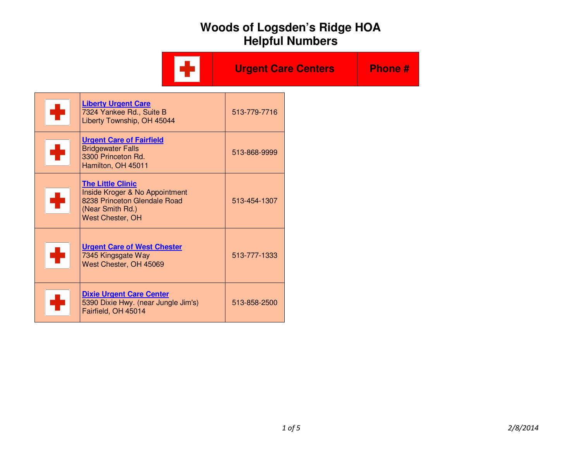|                                                                                                                                    | <b>Urgent Care Centers</b> | <b>Phone#</b> |
|------------------------------------------------------------------------------------------------------------------------------------|----------------------------|---------------|
| <b>Liberty Urgent Care</b><br>7324 Yankee Rd., Suite B<br>Liberty Township, OH 45044                                               | 513-779-7716               |               |
| <b>Urgent Care of Fairfield</b><br><b>Bridgewater Falls</b><br>3300 Princeton Rd.<br>Hamilton, OH 45011                            | 513-868-9999               |               |
| <b>The Little Clinic</b><br>Inside Kroger & No Appointment<br>8238 Princeton Glendale Road<br>(Near Smith Rd.)<br>West Chester, OH | 513-454-1307               |               |
| <b>Urgent Care of West Chester</b><br>7345 Kingsgate Way<br>West Chester, OH 45069                                                 | 513-777-1333               |               |
| <b>Dixie Urgent Care Center</b><br>5390 Dixie Hwy. (near Jungle Jim's)<br>Fairfield, OH 45014                                      | 513-858-2500               |               |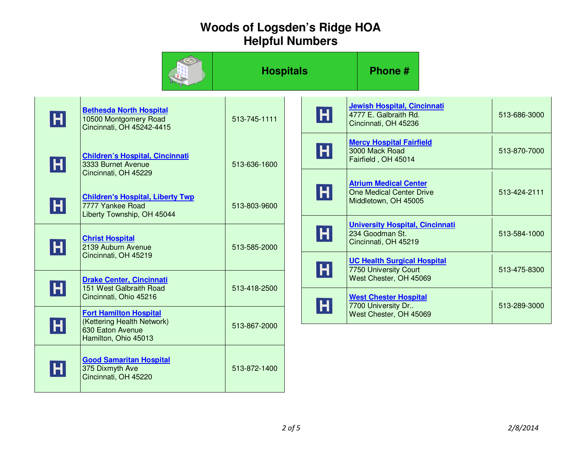|         |                                                                                                         | <b>Hospitals</b> |                   | Phone #                                                                                                               |              |
|---------|---------------------------------------------------------------------------------------------------------|------------------|-------------------|-----------------------------------------------------------------------------------------------------------------------|--------------|
| H       | <b>Bethesda North Hospital</b><br>10500 Montgomery Road<br>Cincinnati, OH 45242-4415                    | 513-745-1111     | $\vert$ H $\vert$ | Jewish Hospital, Cincinnati<br>4777 E. Galbraith Rd.<br>Cincinnati, OH 45236                                          | 513-686-3000 |
| H       | <b>Children's Hospital, Cincinnati</b><br>3333 Burnet Avenue<br>Cincinnati, OH 45229                    | 513-636-1600     | $\vert$ H $\vert$ | <b>Mercy Hospital Fairfield</b><br>3000 Mack Road<br>Fairfield, OH 45014                                              | 513-870-7000 |
| H       | <b>Children's Hospital, Liberty Twp</b><br>7777 Yankee Road<br>Liberty Township, OH 45044               | 513-803-9600     | $\vert$ H $\vert$ | <b>Atrium Medical Center</b><br>One Medical Center Drive<br>Middletown, OH 45005                                      | 513-424-2111 |
| H       | <b>Christ Hospital</b><br>2139 Auburn Avenue<br>Cincinnati, OH 45219                                    | 513-585-2000     | $\vert$ H $\vert$ | <b>University Hospital, Cincinnati</b><br>234 Goodman St.<br>Cincinnati, OH 45219                                     | 513-584-1000 |
| $\sf H$ | <b>Drake Center, Cincinnati</b><br>151 West Galbraith Road<br>Cincinnati, Ohio 45216                    | 513-418-2500     | $\vert$ H $\vert$ | <b>UC Health Surgical Hospital</b><br>7750 University Court<br>West Chester, OH 45069<br><b>West Chester Hospital</b> | 513-475-8300 |
| H       | <b>Fort Hamilton Hospital</b><br>(Kettering Health Network)<br>630 Eaton Avenue<br>Hamilton, Ohio 45013 | 513-867-2000     | $\vert$ H $\vert$ | 7700 University Dr<br>West Chester, OH 45069                                                                          | 513-289-3000 |
| H       | <b>Good Samaritan Hospital</b><br>375 Dixmyth Ave<br>Cincinnati, OH 45220                               | 513-872-1400     |                   |                                                                                                                       |              |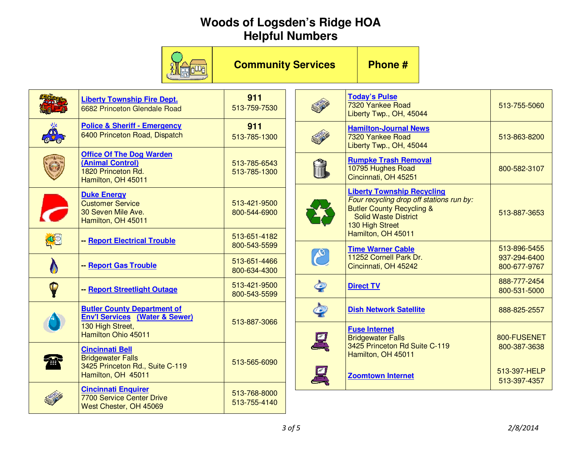|            |                                                                                                 | <b>Community Services</b>    |                    | Phone #                                                                                                                                                                 |  |                              |  |
|------------|-------------------------------------------------------------------------------------------------|------------------------------|--------------------|-------------------------------------------------------------------------------------------------------------------------------------------------------------------------|--|------------------------------|--|
|            | <b>Liberty Township Fire Dept.</b><br>6682 Princeton Glendale Road                              | 911<br>513-759-7530          |                    | <b>Today's Pulse</b><br>7320 Yankee Road<br>Liberty Twp., OH, 45044                                                                                                     |  | 513-755-5060                 |  |
| <b>OUD</b> | <b>Police &amp; Sheriff - Emergency</b><br>6400 Princeton Road, Dispatch                        | 911<br>513-785-1300          |                    | <b>Hamilton-Journal News</b><br>7320 Yankee Road<br>Liberty Twp., OH, 45044                                                                                             |  | 513-863-8200                 |  |
|            | <b>Office Of The Dog Warden</b><br>(Animal Control)<br>1820 Princeton Rd.<br>Hamilton, OH 45011 | 513-785-6543<br>513-785-1300 | Ĥ                  | <b>Rumpke Trash Removal</b><br>10795 Hughes Road<br>Cincinnati, OH 45251                                                                                                |  | 800-582-3107                 |  |
|            | <b>Duke Energy</b><br><b>Customer Service</b><br>30 Seven Mile Ave.<br>Hamilton, OH 45011       | 513-421-9500<br>800-544-6900 |                    | <b>Liberty Township Recycling</b><br>Four recycling drop off stations run by:<br><b>Butler County Recycling &amp;</b><br><b>Solid Waste District</b><br>130 High Street |  | 513-887-3653                 |  |
| 43         | - Report Electrical Trouble                                                                     | 513-651-4182<br>800-543-5599 |                    | Hamilton, OH 45011<br><b>Time Warner Cable</b>                                                                                                                          |  | 513-896-5455                 |  |
|            | - Report Gas Trouble                                                                            | 513-651-4466<br>800-634-4300 | $\mathcal{C}$      | 11252 Cornell Park Dr.<br>Cincinnati, OH 45242                                                                                                                          |  | 937-294-6400<br>800-677-9767 |  |
| P          | - Report Streetlight Outage                                                                     | 513-421-9500<br>800-543-5599 | $\mathcal{Q}$      | <b>Direct TV</b>                                                                                                                                                        |  | 888-777-2454<br>800-531-5000 |  |
|            | <b>Butler County Department of</b><br><b>Env'l Services (Water &amp; Sewer)</b>                 | 513-887-3066                 | $\bm{\mathcal{Q}}$ | <b>Dish Network Satellite</b>                                                                                                                                           |  | 888-825-2557                 |  |
|            | 130 High Street,<br>Hamilton Ohio 45011                                                         |                              | 呉                  | <b>Fuse Internet</b><br><b>Bridgewater Falls</b>                                                                                                                        |  | 800-FUSENET                  |  |
|            | <b>Cincinnati Bell</b><br><b>Bridgewater Falls</b>                                              | 513-565-6090                 |                    | 3425 Princeton Rd Suite C-119<br>Hamilton, OH 45011                                                                                                                     |  | 800-387-3638                 |  |
| 雷          | 3425 Princeton Rd., Suite C-119<br>Hamilton, OH 45011                                           |                              | 凰                  | <b>Zoomtown Internet</b>                                                                                                                                                |  | 513-397-HELP<br>513-397-4357 |  |
|            | <b>Cincinnati Enquirer</b><br><b>7700 Service Center Drive</b><br>West Chester, OH 45069        | 513-768-8000<br>513-755-4140 |                    |                                                                                                                                                                         |  |                              |  |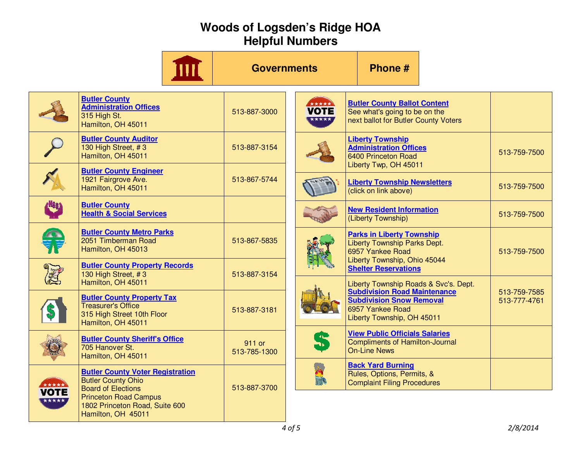|                              |                                                                                                                                                                                           | <b>Governments</b>     |                      | Phone #                                                                                                                  |                              |
|------------------------------|-------------------------------------------------------------------------------------------------------------------------------------------------------------------------------------------|------------------------|----------------------|--------------------------------------------------------------------------------------------------------------------------|------------------------------|
|                              | <b>Butler County</b><br><b>Administration Offices</b><br>315 High St.<br>Hamilton, OH 45011                                                                                               | 513-887-3000           | VOTE<br><b>xxxxx</b> | <b>Butler County Ballot Content</b><br>See what's going to be on the<br>next ballot for Butler County Voters             |                              |
|                              | <b>Butler County Auditor</b><br>130 High Street, #3<br>Hamilton, OH 45011                                                                                                                 | 513-887-3154           |                      | <b>Liberty Township</b><br><b>Administration Offices</b><br>6400 Princeton Road<br>Liberty Twp, OH 45011                 | 513-759-7500                 |
|                              | <b>Butler County Engineer</b><br>1921 Fairgrove Ave.<br>Hamilton, OH 45011                                                                                                                | 513-867-5744           |                      | <b>Liberty Township Newsletters</b><br>(click on link above)                                                             | 513-759-7500                 |
| KHSSA                        | <b>Butler County</b><br><b>Health &amp; Social Services</b>                                                                                                                               |                        |                      | <b>New Resident Information</b><br>(Liberty Township)                                                                    | 513-759-7500                 |
|                              | <b>Butler County Metro Parks</b><br>2051 Timberman Road<br>Hamilton, OH 45013                                                                                                             | 513-867-5835           |                      | <b>Parks in Liberty Township</b><br><b>Liberty Township Parks Dept.</b><br>6957 Yankee Road                              | 513-759-7500                 |
|                              | <b>Butler County Property Records</b><br>130 High Street, #3<br>Hamilton, OH 45011                                                                                                        | 513-887-3154           |                      | Liberty Township, Ohio 45044<br><b>Shelter Reservations</b><br>Liberty Township Roads & Svc's. Dept.                     |                              |
|                              | <b>Butler County Property Tax</b><br><b>Treasurer's Office</b><br>315 High Street 10th Floor<br>Hamilton, OH 45011                                                                        | 513-887-3181           |                      | <b>Subdivision Road Maintenance</b><br><b>Subdivision Snow Removal</b><br>6957 Yankee Road<br>Liberty Township, OH 45011 | 513-759-7585<br>513-777-4761 |
|                              | <b>Butler County Sheriff's Office</b><br>705 Hanover St.<br>Hamilton, OH 45011                                                                                                            | 911 or<br>513-785-1300 | 5                    | <b>View Public Officials Salaries</b><br><b>Compliments of Hamilton-Journal</b><br><b>On-Line News</b>                   |                              |
| *****<br><b>OTE</b><br>***** | <b>Butler County Voter Registration</b><br><b>Butler County Ohio</b><br><b>Board of Elections</b><br><b>Princeton Road Campus</b><br>1802 Princeton Road, Suite 600<br>Hamilton, OH 45011 | 513-887-3700           | WIN'S                | <b>Back Yard Burning</b><br>Rules, Options, Permits, &<br><b>Complaint Filing Procedures</b>                             |                              |